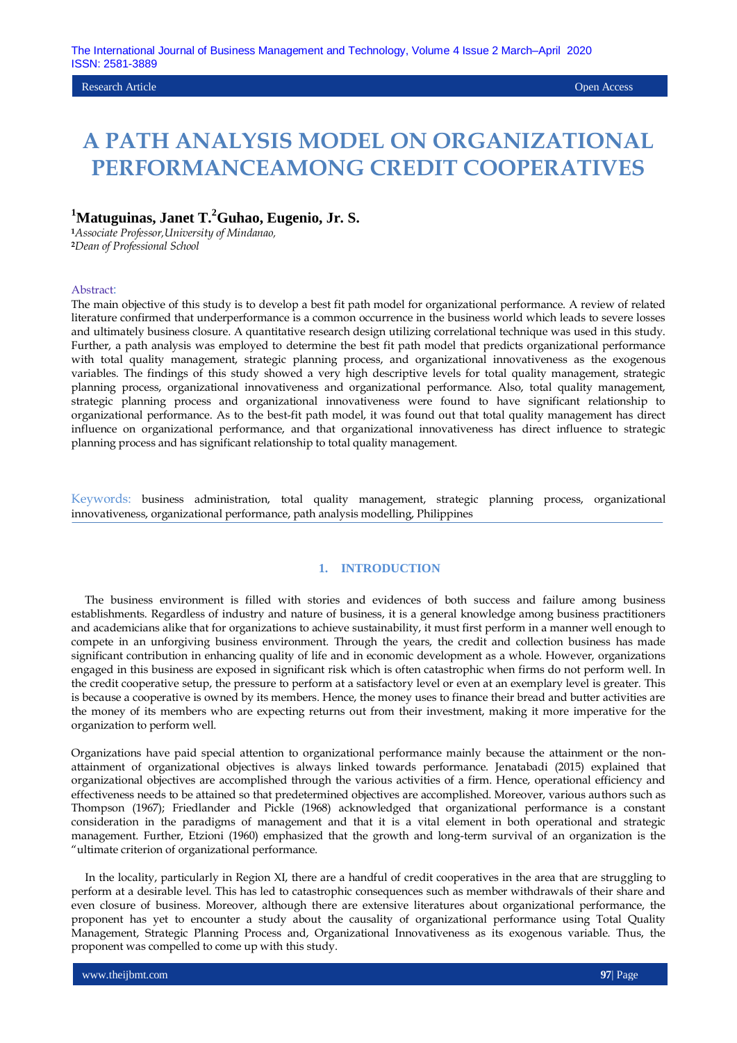## Research Article Open Access

# **A PATH ANALYSIS MODEL ON ORGANIZATIONAL PERFORMANCEAMONG CREDIT COOPERATIVES**

# **<sup>1</sup>Matuguinas, Janet T. <sup>2</sup>Guhao, Eugenio, Jr. S.**

**<sup>1</sup>***Associate Professor,University of Mindanao,*  **<sup>2</sup>***Dean of Professional School*

#### Abstract:

The main objective of this study is to develop a best fit path model for organizational performance. A review of related literature confirmed that underperformance is a common occurrence in the business world which leads to severe losses and ultimately business closure. A quantitative research design utilizing correlational technique was used in this study. Further, a path analysis was employed to determine the best fit path model that predicts organizational performance with total quality management, strategic planning process, and organizational innovativeness as the exogenous variables. The findings of this study showed a very high descriptive levels for total quality management, strategic planning process, organizational innovativeness and organizational performance. Also, total quality management, strategic planning process and organizational innovativeness were found to have significant relationship to organizational performance. As to the best-fit path model, it was found out that total quality management has direct influence on organizational performance, and that organizational innovativeness has direct influence to strategic planning process and has significant relationship to total quality management.

Keywords: business administration, total quality management, strategic planning process, organizational innovativeness, organizational performance, path analysis modelling, Philippines

## **1. INTRODUCTION**

 The business environment is filled with stories and evidences of both success and failure among business establishments. Regardless of industry and nature of business, it is a general knowledge among business practitioners and academicians alike that for organizations to achieve sustainability, it must first perform in a manner well enough to compete in an unforgiving business environment. Through the years, the credit and collection business has made significant contribution in enhancing quality of life and in economic development as a whole. However, organizations engaged in this business are exposed in significant risk which is often catastrophic when firms do not perform well. In the credit cooperative setup, the pressure to perform at a satisfactory level or even at an exemplary level is greater. This is because a cooperative is owned by its members. Hence, the money uses to finance their bread and butter activities are the money of its members who are expecting returns out from their investment, making it more imperative for the organization to perform well.

Organizations have paid special attention to organizational performance mainly because the attainment or the nonattainment of organizational objectives is always linked towards performance. Jenatabadi (2015) explained that organizational objectives are accomplished through the various activities of a firm. Hence, operational efficiency and effectiveness needs to be attained so that predetermined objectives are accomplished. Moreover, various authors such as Thompson (1967); Friedlander and Pickle (1968) acknowledged that organizational performance is a constant consideration in the paradigms of management and that it is a vital element in both operational and strategic management. Further, Etzioni (1960) emphasized that the growth and long-term survival of an organization is the "ultimate criterion of organizational performance.

 In the locality, particularly in Region XI, there are a handful of credit cooperatives in the area that are struggling to perform at a desirable level. This has led to catastrophic consequences such as member withdrawals of their share and even closure of business. Moreover, although there are extensive literatures about organizational performance, the proponent has yet to encounter a study about the causality of organizational performance using Total Quality Management, Strategic Planning Process and, Organizational Innovativeness as its exogenous variable. Thus, the proponent was compelled to come up with this study.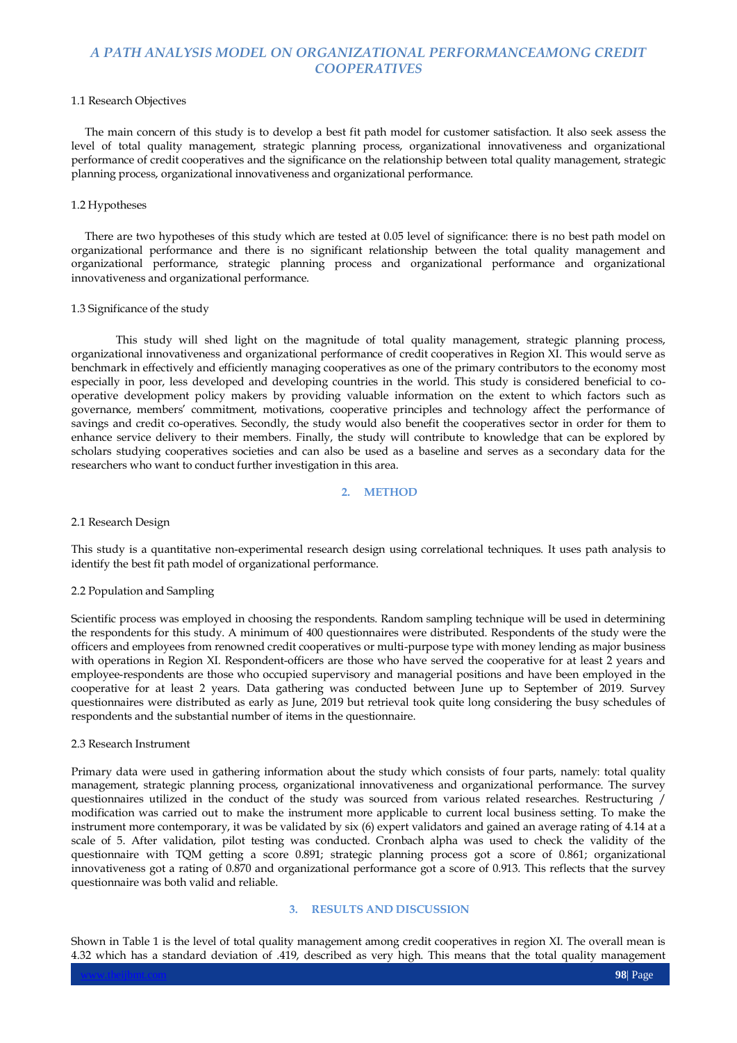## 1.1 Research Objectives

 The main concern of this study is to develop a best fit path model for customer satisfaction. It also seek assess the level of total quality management, strategic planning process, organizational innovativeness and organizational performance of credit cooperatives and the significance on the relationship between total quality management, strategic planning process, organizational innovativeness and organizational performance.

### 1.2 Hypotheses

 There are two hypotheses of this study which are tested at 0.05 level of significance: there is no best path model on organizational performance and there is no significant relationship between the total quality management and organizational performance, strategic planning process and organizational performance and organizational innovativeness and organizational performance.

#### 1.3 Significance of the study

This study will shed light on the magnitude of total quality management, strategic planning process, organizational innovativeness and organizational performance of credit cooperatives in Region XI. This would serve as benchmark in effectively and efficiently managing cooperatives as one of the primary contributors to the economy most especially in poor, less developed and developing countries in the world. This study is considered beneficial to cooperative development policy makers by providing valuable information on the extent to which factors such as governance, members' commitment, motivations, cooperative principles and technology affect the performance of savings and credit co-operatives. Secondly, the study would also benefit the cooperatives sector in order for them to enhance service delivery to their members. Finally, the study will contribute to knowledge that can be explored by scholars studying cooperatives societies and can also be used as a baseline and serves as a secondary data for the researchers who want to conduct further investigation in this area.

#### **2. METHOD**

#### 2.1 Research Design

This study is a quantitative non-experimental research design using correlational techniques. It uses path analysis to identify the best fit path model of organizational performance.

#### 2.2 Population and Sampling

Scientific process was employed in choosing the respondents. Random sampling technique will be used in determining the respondents for this study. A minimum of 400 questionnaires were distributed. Respondents of the study were the officers and employees from renowned credit cooperatives or multi-purpose type with money lending as major business with operations in Region XI. Respondent-officers are those who have served the cooperative for at least 2 years and employee-respondents are those who occupied supervisory and managerial positions and have been employed in the cooperative for at least 2 years. Data gathering was conducted between June up to September of 2019. Survey questionnaires were distributed as early as June, 2019 but retrieval took quite long considering the busy schedules of respondents and the substantial number of items in the questionnaire.

#### 2.3 Research Instrument

Primary data were used in gathering information about the study which consists of four parts, namely: total quality management, strategic planning process, organizational innovativeness and organizational performance. The survey questionnaires utilized in the conduct of the study was sourced from various related researches. Restructuring / modification was carried out to make the instrument more applicable to current local business setting. To make the instrument more contemporary, it was be validated by six (6) expert validators and gained an average rating of 4.14 at a scale of 5. After validation, pilot testing was conducted. Cronbach alpha was used to check the validity of the questionnaire with TQM getting a score 0.891; strategic planning process got a score of 0.861; organizational innovativeness got a rating of 0.870 and organizational performance got a score of 0.913. This reflects that the survey questionnaire was both valid and reliable.

## **3. RESULTS AND DISCUSSION**

Shown in Table 1 is the level of total quality management among credit cooperatives in region XI. The overall mean is 4.32 which has a standard deviation of .419, described as very high. This means that the total quality management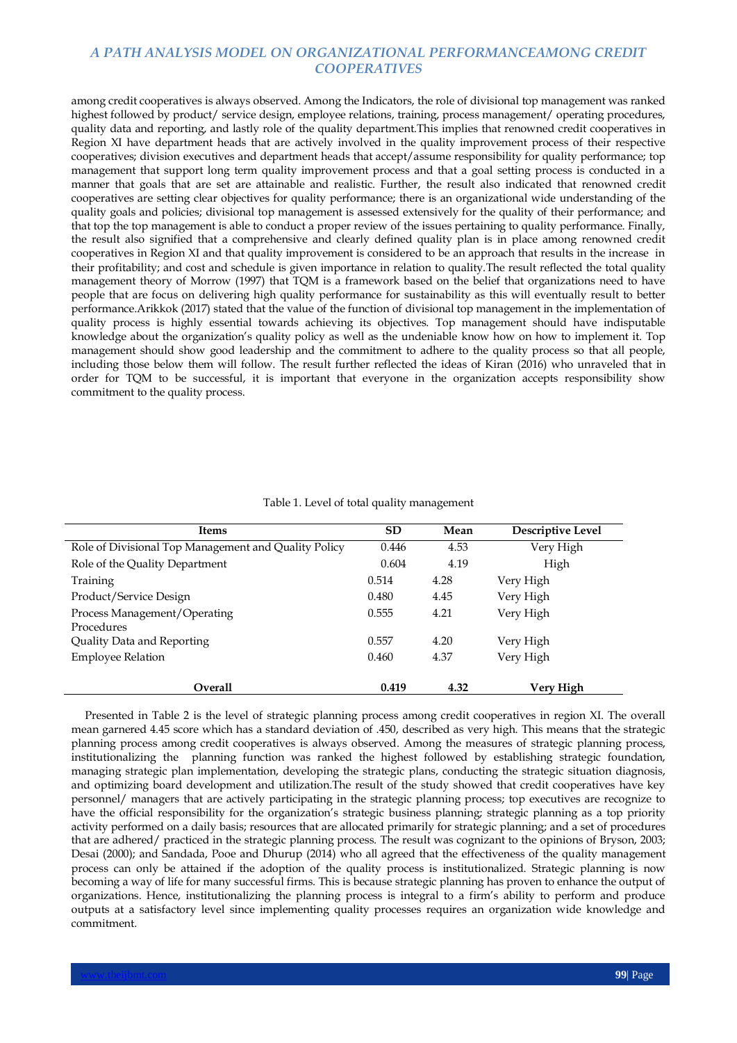among credit cooperatives is always observed. Among the Indicators, the role of divisional top management was ranked highest followed by product/ service design, employee relations, training, process management/ operating procedures, quality data and reporting, and lastly role of the quality department.This implies that renowned credit cooperatives in Region XI have department heads that are actively involved in the quality improvement process of their respective cooperatives; division executives and department heads that accept/assume responsibility for quality performance; top management that support long term quality improvement process and that a goal setting process is conducted in a manner that goals that are set are attainable and realistic. Further, the result also indicated that renowned credit cooperatives are setting clear objectives for quality performance; there is an organizational wide understanding of the quality goals and policies; divisional top management is assessed extensively for the quality of their performance; and that top the top management is able to conduct a proper review of the issues pertaining to quality performance. Finally, the result also signified that a comprehensive and clearly defined quality plan is in place among renowned credit cooperatives in Region XI and that quality improvement is considered to be an approach that results in the increase in their profitability; and cost and schedule is given importance in relation to quality.The result reflected the total quality management theory of Morrow (1997) that TQM is a framework based on the belief that organizations need to have people that are focus on delivering high quality performance for sustainability as this will eventually result to better performance.Arikkok (2017) stated that the value of the function of divisional top management in the implementation of quality process is highly essential towards achieving its objectives. Top management should have indisputable knowledge about the organization's quality policy as well as the undeniable know how on how to implement it. Top management should show good leadership and the commitment to adhere to the quality process so that all people, including those below them will follow. The result further reflected the ideas of Kiran (2016) who unraveled that in order for TQM to be successful, it is important that everyone in the organization accepts responsibility show commitment to the quality process.

| <b>Items</b>                                         | <b>SD</b> | Mean | Descriptive Level |
|------------------------------------------------------|-----------|------|-------------------|
| Role of Divisional Top Management and Quality Policy | 0.446     | 4.53 | Very High         |
| Role of the Quality Department                       | 0.604     | 4.19 | High              |
| Training                                             | 0.514     | 4.28 | Very High         |
| Product/Service Design                               | 0.480     | 4.45 | Very High         |
| Process Management/Operating<br>Procedures           | 0.555     | 4.21 | Very High         |
| Quality Data and Reporting                           | 0.557     | 4.20 | Very High         |
| <b>Employee Relation</b>                             | 0.460     | 4.37 | Very High         |
| <b>Overall</b>                                       | 0.419     | 4.32 | Very High         |

| Table 1. Level of total quality management |  |
|--------------------------------------------|--|
|--------------------------------------------|--|

 Presented in Table 2 is the level of strategic planning process among credit cooperatives in region XI. The overall mean garnered 4.45 score which has a standard deviation of .450, described as very high. This means that the strategic planning process among credit cooperatives is always observed. Among the measures of strategic planning process, institutionalizing the planning function was ranked the highest followed by establishing strategic foundation, managing strategic plan implementation, developing the strategic plans, conducting the strategic situation diagnosis, and optimizing board development and utilization.The result of the study showed that credit cooperatives have key personnel/ managers that are actively participating in the strategic planning process; top executives are recognize to have the official responsibility for the organization's strategic business planning; strategic planning as a top priority activity performed on a daily basis; resources that are allocated primarily for strategic planning; and a set of procedures that are adhered/ practiced in the strategic planning process. The result was cognizant to the opinions of Bryson, 2003; Desai (2000); and Sandada, Pooe and Dhurup (2014) who all agreed that the effectiveness of the quality management process can only be attained if the adoption of the quality process is institutionalized. Strategic planning is now becoming a way of life for many successful firms. This is because strategic planning has proven to enhance the output of organizations. Hence, institutionalizing the planning process is integral to a firm's ability to perform and produce outputs at a satisfactory level since implementing quality processes requires an organization wide knowledge and commitment.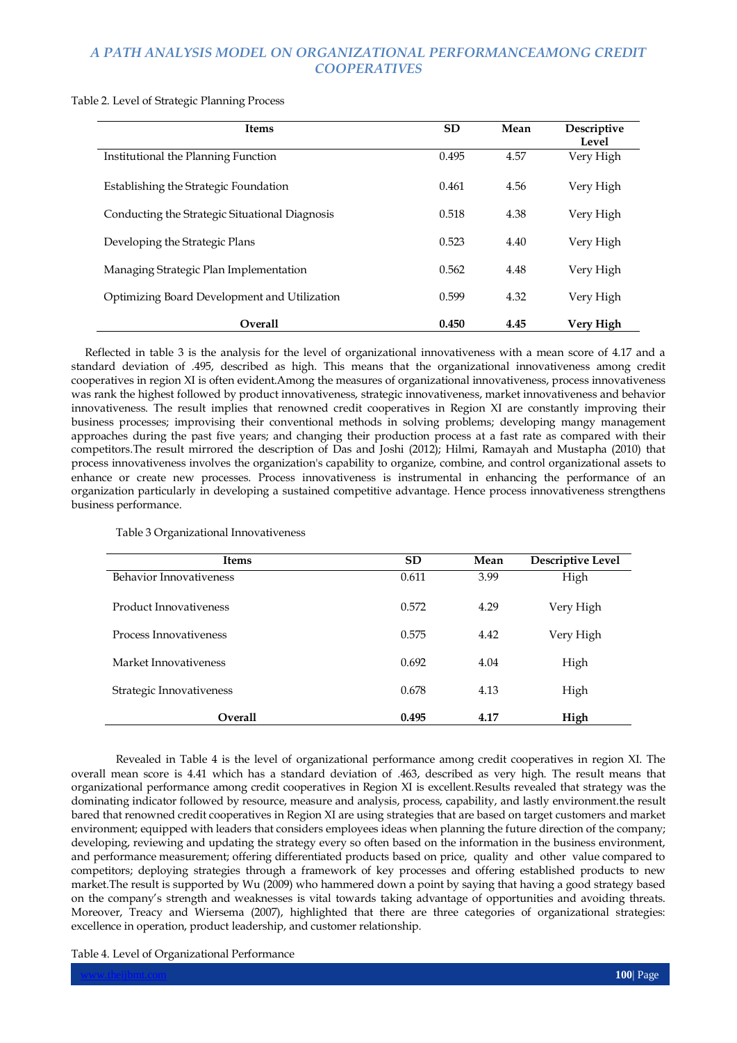Table 2. Level of Strategic Planning Process

| <b>Items</b>                                   | <b>SD</b> | Mean | Descriptive<br>Level |
|------------------------------------------------|-----------|------|----------------------|
| Institutional the Planning Function            | 0.495     | 4.57 | Very High            |
| Establishing the Strategic Foundation          | 0.461     | 4.56 | Very High            |
| Conducting the Strategic Situational Diagnosis | 0.518     | 4.38 | Very High            |
| Developing the Strategic Plans                 | 0.523     | 4.40 | Very High            |
| Managing Strategic Plan Implementation         | 0.562     | 4.48 | Very High            |
| Optimizing Board Development and Utilization   | 0.599     | 4.32 | Very High            |
| <b>Overall</b>                                 | 0.450     | 4.45 | Very High            |

 Reflected in table 3 is the analysis for the level of organizational innovativeness with a mean score of 4.17 and a standard deviation of .495, described as high. This means that the organizational innovativeness among credit cooperatives in region XI is often evident.Among the measures of organizational innovativeness, process innovativeness was rank the highest followed by product innovativeness, strategic innovativeness, market innovativeness and behavior innovativeness. The result implies that renowned credit cooperatives in Region XI are constantly improving their business processes; improvising their conventional methods in solving problems; developing mangy management approaches during the past five years; and changing their production process at a fast rate as compared with their competitors.The result mirrored the description of Das and Joshi (2012); Hilmi, Ramayah and Mustapha (2010) that process innovativeness involves the organization's capability to organize, combine, and control organizational assets to enhance or create new processes. Process innovativeness is instrumental in enhancing the performance of an organization particularly in developing a sustained competitive advantage. Hence process innovativeness strengthens business performance.

| <b>Items</b>                  | <b>SD</b> | Mean | Descriptive Level |
|-------------------------------|-----------|------|-------------------|
| Behavior Innovativeness       | 0.611     | 3.99 | High              |
| <b>Product Innovativeness</b> | 0.572     | 4.29 | Very High         |
| Process Innovativeness        | 0.575     | 4.42 | Very High         |
| Market Innovativeness         | 0.692     | 4.04 | High              |
| Strategic Innovativeness      | 0.678     | 4.13 | High              |
| <b>Overall</b>                | 0.495     | 4.17 | High              |

Table 3 Organizational Innovativeness

Revealed in Table 4 is the level of organizational performance among credit cooperatives in region XI. The overall mean score is 4.41 which has a standard deviation of .463, described as very high. The result means that organizational performance among credit cooperatives in Region XI is excellent.Results revealed that strategy was the dominating indicator followed by resource, measure and analysis, process, capability, and lastly environment.the result bared that renowned credit cooperatives in Region XI are using strategies that are based on target customers and market environment; equipped with leaders that considers employees ideas when planning the future direction of the company; developing, reviewing and updating the strategy every so often based on the information in the business environment, and performance measurement; offering differentiated products based on price, quality and other value compared to competitors; deploying strategies through a framework of key processes and offering established products to new market.The result is supported by Wu (2009) who hammered down a point by saying that having a good strategy based on the company's strength and weaknesses is vital towards taking advantage of opportunities and avoiding threats. Moreover, Treacy and Wiersema (2007), highlighted that there are three categories of organizational strategies: excellence in operation, product leadership, and customer relationship.

Table 4. Level of Organizational Performance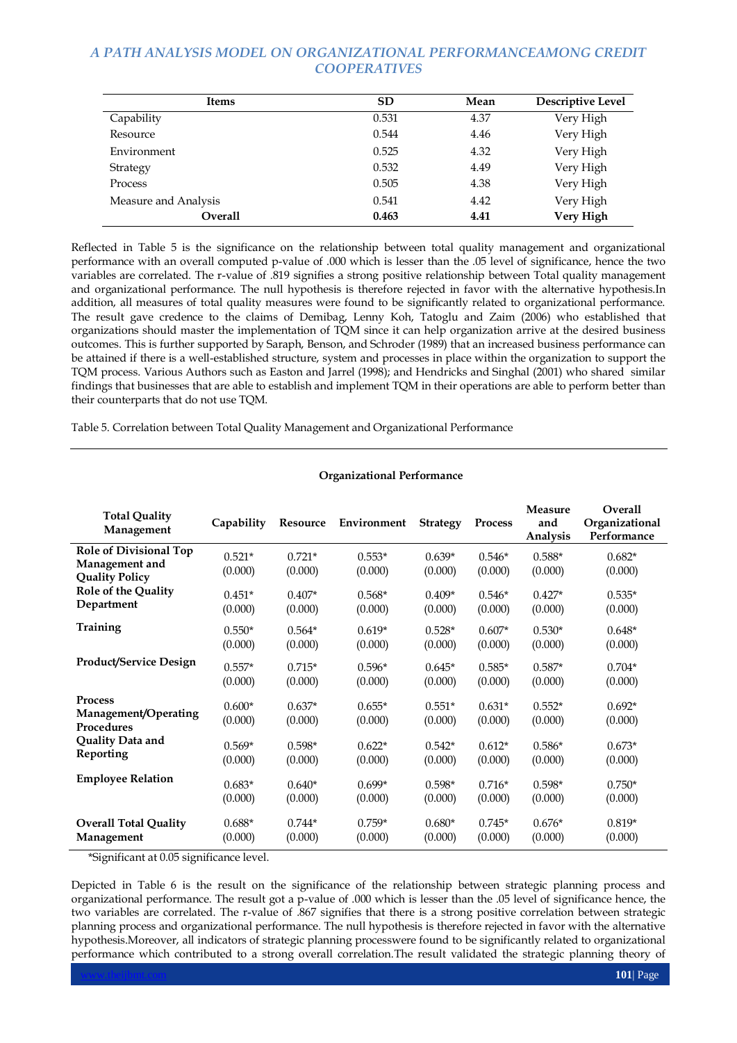| <b>Items</b>         | <b>SD</b> | Mean | <b>Descriptive Level</b> |
|----------------------|-----------|------|--------------------------|
| Capability           | 0.531     | 4.37 | Very High                |
| Resource             | 0.544     | 4.46 | Very High                |
| Environment          | 0.525     | 4.32 | Very High                |
| Strategy             | 0.532     | 4.49 | Very High                |
| Process              | 0.505     | 4.38 | Very High                |
| Measure and Analysis | 0.541     | 4.42 | Very High                |
| Overall              | 0.463     | 4.41 | Very High                |

Reflected in Table 5 is the significance on the relationship between total quality management and organizational performance with an overall computed p-value of .000 which is lesser than the .05 level of significance, hence the two variables are correlated. The r-value of .819 signifies a strong positive relationship between Total quality management and organizational performance. The null hypothesis is therefore rejected in favor with the alternative hypothesis.In addition, all measures of total quality measures were found to be significantly related to organizational performance. The result gave credence to the claims of Demibag, Lenny Koh, Tatoglu and Zaim (2006) who established that organizations should master the implementation of TQM since it can help organization arrive at the desired business outcomes. This is further supported by Saraph, Benson, and Schroder (1989) that an increased business performance can be attained if there is a well-established structure, system and processes in place within the organization to support the TQM process. Various Authors such as Easton and Jarrel (1998); and Hendricks and Singhal (2001) who shared similar findings that businesses that are able to establish and implement TQM in their operations are able to perform better than their counterparts that do not use TQM.

Table 5. Correlation between Total Quality Management and Organizational Performance

| <b>Total Quality</b><br>Management                                       | Capability          | Resource            | Environment         | <b>Strategy</b>     | <b>Process</b>      | Measure<br>and<br>Analysis | Overall<br>Organizational<br>Performance |
|--------------------------------------------------------------------------|---------------------|---------------------|---------------------|---------------------|---------------------|----------------------------|------------------------------------------|
| <b>Role of Divisional Top</b><br>Management and<br><b>Quality Policy</b> | $0.521*$<br>(0.000) | $0.721*$<br>(0.000) | $0.553*$<br>(0.000) | $0.639*$<br>(0.000) | $0.546*$<br>(0.000) | $0.588*$<br>(0.000)        | $0.682*$<br>(0.000)                      |
| <b>Role of the Quality</b>                                               | $0.451*$            | $0.407*$            | $0.568*$            | $0.409*$            | $0.546*$            | $0.427*$                   | $0.535*$                                 |
| Department                                                               | (0.000)             | (0.000)             | (0.000)             | (0.000)             | (0.000)             | (0.000)                    | (0.000)                                  |
| Training                                                                 | $0.550*$            | $0.564*$            | $0.619*$            | $0.528*$            | $0.607*$            | $0.530*$                   | $0.648*$                                 |
|                                                                          | (0.000)             | (0.000)             | (0.000)             | (0.000)             | (0.000)             | (0.000)                    | (0.000)                                  |
| <b>Product/Service Design</b>                                            | $0.557*$            | $0.715*$            | $0.596*$            | $0.645*$            | $0.585*$            | $0.587*$                   | $0.704*$                                 |
|                                                                          | (0.000)             | (0.000)             | (0.000)             | (0.000)             | (0.000)             | (0.000)                    | (0.000)                                  |
| Process<br>Management/Operating<br>Procedures                            | $0.600*$<br>(0.000) | $0.637*$<br>(0.000) | $0.655*$<br>(0.000) | $0.551*$<br>(0.000) | $0.631*$<br>(0.000) | $0.552*$<br>(0.000)        | $0.692*$<br>(0.000)                      |
| Quality Data and                                                         | $0.569*$            | $0.598*$            | $0.622*$            | $0.542*$            | $0.612*$            | $0.586*$                   | $0.673*$                                 |
| Reporting                                                                | (0.000)             | (0.000)             | (0.000)             | (0.000)             | (0.000)             | (0.000)                    | (0.000)                                  |
| <b>Employee Relation</b>                                                 | $0.683*$            | $0.640*$            | $0.699*$            | $0.598*$            | $0.716*$            | $0.598*$                   | $0.750*$                                 |
|                                                                          | (0.000)             | (0.000)             | (0.000)             | (0.000)             | (0.000)             | (0.000)                    | (0.000)                                  |
| <b>Overall Total Quality</b>                                             | $0.688*$            | $0.744*$            | $0.759*$            | $0.680*$            | $0.745*$            | $0.676*$                   | $0.819*$                                 |
| Management                                                               | (0.000)             | (0.000)             | (0.000)             | (0.000)             | (0.000)             | (0.000)                    | (0.000)                                  |

## **Organizational Performance**

\*Significant at 0.05 significance level.

Depicted in Table 6 is the result on the significance of the relationship between strategic planning process and organizational performance. The result got a p-value of .000 which is lesser than the .05 level of significance hence, the two variables are correlated. The r-value of .867 signifies that there is a strong positive correlation between strategic planning process and organizational performance. The null hypothesis is therefore rejected in favor with the alternative hypothesis.Moreover, all indicators of strategic planning processwere found to be significantly related to organizational performance which contributed to a strong overall correlation.The result validated the strategic planning theory of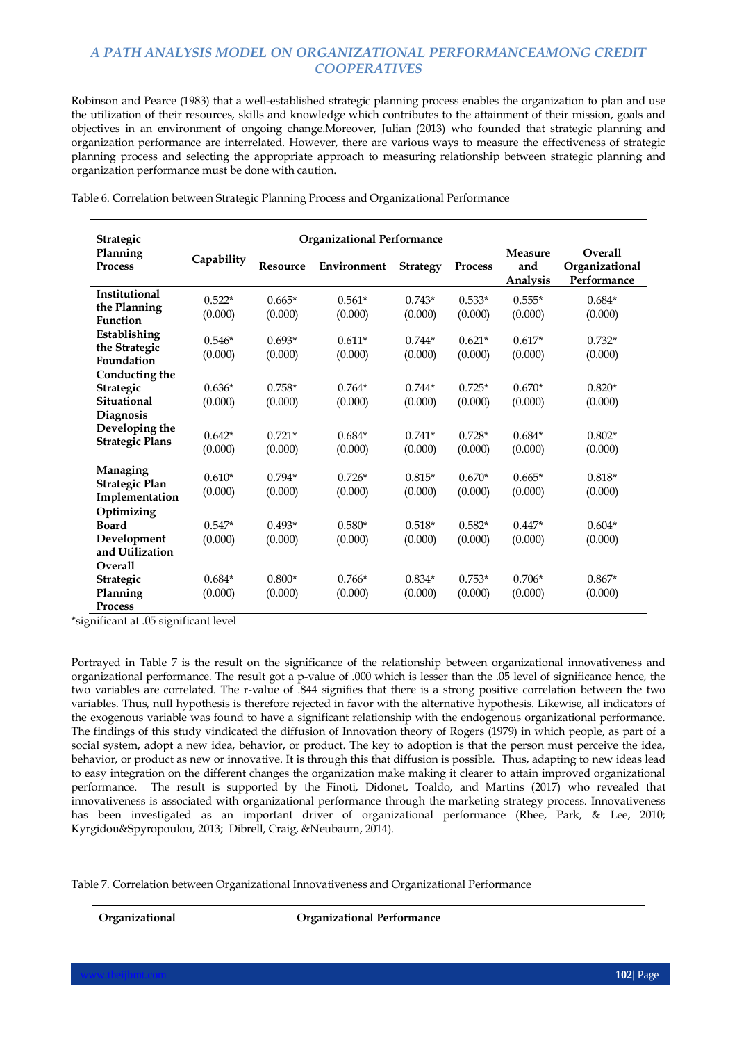Robinson and Pearce (1983) that a well-established strategic planning process enables the organization to plan and use the utilization of their resources, skills and knowledge which contributes to the attainment of their mission, goals and objectives in an environment of ongoing change.Moreover, Julian (2013) who founded that strategic planning and organization performance are interrelated. However, there are various ways to measure the effectiveness of strategic planning process and selecting the appropriate approach to measuring relationship between strategic planning and organization performance must be done with caution.

Table 6. Correlation between Strategic Planning Process and Organizational Performance

| Strategic                                |            | <b>Organizational Performance</b> |             |                 |          |                            |                                          |
|------------------------------------------|------------|-----------------------------------|-------------|-----------------|----------|----------------------------|------------------------------------------|
| Planning<br><b>Process</b>               | Capability | <b>Resource</b>                   | Environment | <b>Strategy</b> | Process  | Measure<br>and<br>Analysis | Overall<br>Organizational<br>Performance |
| Institutional                            | $0.522*$   | $0.665*$                          | $0.561*$    | $0.743*$        | $0.533*$ | $0.555*$                   | $0.684*$                                 |
| the Planning<br>Function                 | (0.000)    | (0.000)                           | (0.000)     | (0.000)         | (0.000)  | (0.000)                    | (0.000)                                  |
| Establishing                             | $0.546*$   | $0.693*$                          | $0.611*$    | $0.744*$        | $0.621*$ | $0.617*$                   | $0.732*$                                 |
| the Strategic<br>Foundation              | (0.000)    | (0.000)                           | (0.000)     | (0.000)         | (0.000)  | (0.000)                    | (0.000)                                  |
| Conducting the                           |            |                                   |             |                 |          |                            |                                          |
| Strategic                                | $0.636*$   | $0.758*$                          | $0.764*$    | $0.744*$        | $0.725*$ | $0.670*$                   | $0.820*$                                 |
| Situational                              | (0.000)    | (0.000)                           | (0.000)     | (0.000)         | (0.000)  | (0.000)                    | (0.000)                                  |
| Diagnosis                                |            |                                   |             |                 |          |                            |                                          |
| Developing the<br><b>Strategic Plans</b> | $0.642*$   | $0.721*$                          | $0.684*$    | $0.741*$        | $0.728*$ | $0.684*$                   | $0.802*$                                 |
|                                          | (0.000)    | (0.000)                           | (0.000)     | (0.000)         | (0.000)  | (0.000)                    | (0.000)                                  |
| Managing                                 | $0.610*$   | $0.794*$                          | $0.726*$    | $0.815*$        | $0.670*$ | $0.665*$                   | $0.818*$                                 |
| Strategic Plan<br>Implementation         | (0.000)    | (0.000)                           | (0.000)     | (0.000)         | (0.000)  | (0.000)                    | (0.000)                                  |
| Optimizing                               |            |                                   |             |                 |          |                            |                                          |
| <b>Board</b>                             | $0.547*$   | $0.493*$                          | $0.580*$    | $0.518*$        | $0.582*$ | $0.447*$                   | $0.604*$                                 |
| Development                              | (0.000)    | (0.000)                           | (0.000)     | (0.000)         | (0.000)  | (0.000)                    | (0.000)                                  |
| and Utilization                          |            |                                   |             |                 |          |                            |                                          |
| Overall                                  |            |                                   |             |                 |          |                            |                                          |
| Strategic                                | $0.684*$   | $0.800*$                          | $0.766*$    | $0.834*$        | $0.753*$ | $0.706*$                   | $0.867*$                                 |
| Planning                                 | (0.000)    | (0.000)                           | (0.000)     | (0.000)         | (0.000)  | (0.000)                    | (0.000)                                  |
| Process                                  |            |                                   |             |                 |          |                            |                                          |

\*significant at .05 significant level

Portrayed in Table 7 is the result on the significance of the relationship between organizational innovativeness and organizational performance. The result got a p-value of .000 which is lesser than the .05 level of significance hence, the two variables are correlated. The r-value of .844 signifies that there is a strong positive correlation between the two variables. Thus, null hypothesis is therefore rejected in favor with the alternative hypothesis. Likewise, all indicators of the exogenous variable was found to have a significant relationship with the endogenous organizational performance. The findings of this study vindicated the diffusion of Innovation theory of Rogers (1979) in which people, as part of a social system, adopt a new idea, behavior, or product. The key to adoption is that the person must perceive the idea, behavior, or product as new or innovative. It is through this that diffusion is possible. Thus, adapting to new ideas lead to easy integration on the different changes the organization make making it clearer to attain improved organizational performance. The result is supported by the Finoti, Didonet, Toaldo, and Martins (2017) who revealed that innovativeness is associated with organizational performance through the marketing strategy process. Innovativeness has been investigated as an important driver of organizational performance (Rhee, Park, & Lee, 2010; Kyrgidou&Spyropoulou, 2013; Dibrell, Craig, &Neubaum, 2014).

Table 7. Correlation between Organizational Innovativeness and Organizational Performance

**Organizational Organizational Performance**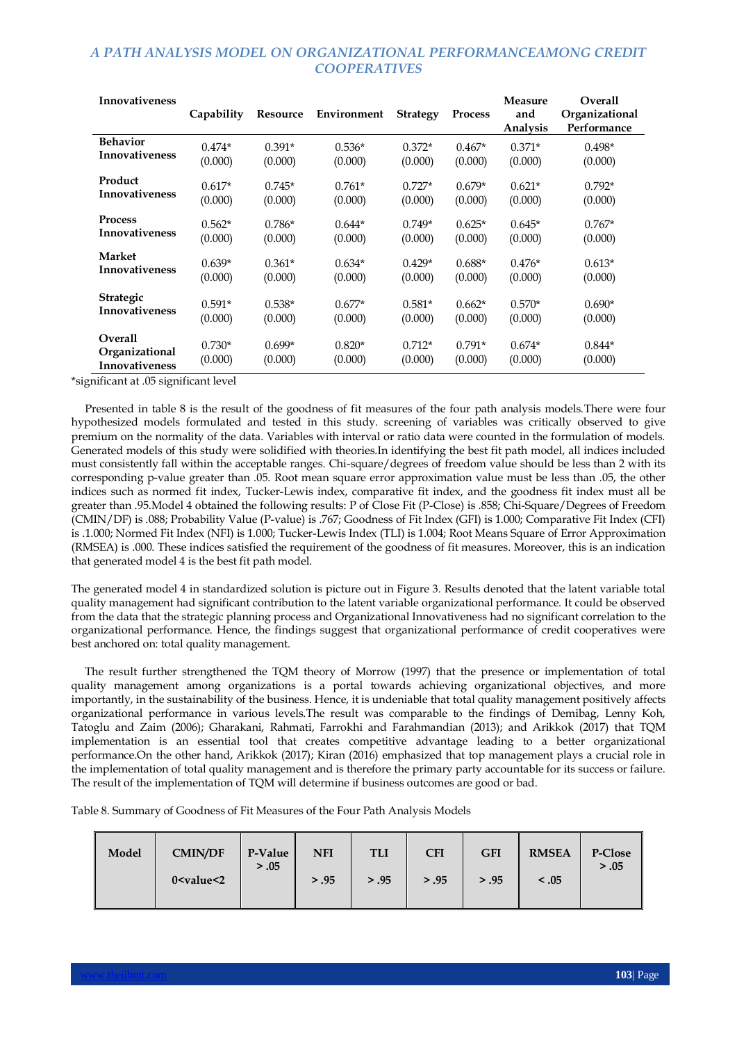| <b>Innovativeness</b>                                     | Capability          | Resource            | Environment         | <b>Strategy</b>     | <b>Process</b>      | <b>Measure</b><br>and<br>Analysis | Overall<br>Organizational<br>Performance |
|-----------------------------------------------------------|---------------------|---------------------|---------------------|---------------------|---------------------|-----------------------------------|------------------------------------------|
| <b>Behavior</b>                                           | $0.474*$            | $0.391*$            | $0.536*$            | $0.372*$            | $0.467*$            | $0.371*$                          | $0.498*$                                 |
| <b>Innovativeness</b>                                     | (0.000)             | (0.000)             | (0.000)             | (0.000)             | (0.000)             | (0.000)                           | (0.000)                                  |
| Product                                                   | $0.617*$            | $0.745*$            | $0.761*$            | $0.727*$            | $0.679*$            | $0.621*$                          | $0.792*$                                 |
| <b>Innovativeness</b>                                     | (0.000)             | (0.000)             | (0.000)             | (0.000)             | (0.000)             | (0.000)                           | (0.000)                                  |
| <b>Process</b>                                            | $0.562*$            | $0.786*$            | $0.644*$            | $0.749*$            | $0.625*$            | $0.645*$                          | $0.767*$                                 |
| <b>Innovativeness</b>                                     | (0.000)             | (0.000)             | (0.000)             | (0.000)             | (0.000)             | (0.000)                           | (0.000)                                  |
| <b>Market</b>                                             | $0.639*$            | $0.361*$            | $0.634*$            | $0.429*$            | $0.688*$            | $0.476*$                          | $0.613*$                                 |
| <b>Innovativeness</b>                                     | (0.000)             | (0.000)             | (0.000)             | (0.000)             | (0.000)             | (0.000)                           | (0.000)                                  |
| <b>Strategic</b>                                          | $0.591*$            | $0.538*$            | $0.677*$            | $0.581*$            | $0.662*$            | $0.570*$                          | $0.690*$                                 |
| <b>Innovativeness</b>                                     | (0.000)             | (0.000)             | (0.000)             | (0.000)             | (0.000)             | (0.000)                           | (0.000)                                  |
| <b>Overall</b><br>Organizational<br><b>Innovativeness</b> | $0.730*$<br>(0.000) | $0.699*$<br>(0.000) | $0.820*$<br>(0.000) | $0.712*$<br>(0.000) | $0.791*$<br>(0.000) | $0.674*$<br>(0.000)               | $0.844*$<br>(0.000)                      |

\*significant at .05 significant level

 Presented in table 8 is the result of the goodness of fit measures of the four path analysis models.There were four hypothesized models formulated and tested in this study. screening of variables was critically observed to give premium on the normality of the data. Variables with interval or ratio data were counted in the formulation of models. Generated models of this study were solidified with theories.In identifying the best fit path model, all indices included must consistently fall within the acceptable ranges. Chi-square/degrees of freedom value should be less than 2 with its corresponding p-value greater than .05. Root mean square error approximation value must be less than .05, the other indices such as normed fit index, Tucker-Lewis index, comparative fit index, and the goodness fit index must all be greater than .95.Model 4 obtained the following results: P of Close Fit (P-Close) is .858; Chi-Square/Degrees of Freedom (CMIN/DF) is .088; Probability Value (P-value) is .767; Goodness of Fit Index (GFI) is 1.000; Comparative Fit Index (CFI) is .1.000; Normed Fit Index (NFI) is 1.000; Tucker-Lewis Index (TLI) is 1.004; Root Means Square of Error Approximation (RMSEA) is .000. These indices satisfied the requirement of the goodness of fit measures. Moreover, this is an indication that generated model 4 is the best fit path model.

The generated model 4 in standardized solution is picture out in Figure 3. Results denoted that the latent variable total quality management had significant contribution to the latent variable organizational performance. It could be observed from the data that the strategic planning process and Organizational Innovativeness had no significant correlation to the organizational performance. Hence, the findings suggest that organizational performance of credit cooperatives were best anchored on: total quality management.

 The result further strengthened the TQM theory of Morrow (1997) that the presence or implementation of total quality management among organizations is a portal towards achieving organizational objectives, and more importantly, in the sustainability of the business. Hence, it is undeniable that total quality management positively affects organizational performance in various levels.The result was comparable to the findings of Demibag, Lenny Koh, Tatoglu and Zaim (2006); Gharakani, Rahmati, Farrokhi and Farahmandian (2013); and Arikkok (2017) that TQM implementation is an essential tool that creates competitive advantage leading to a better organizational performance.On the other hand, Arikkok (2017); Kiran (2016) emphasized that top management plays a crucial role in the implementation of total quality management and is therefore the primary party accountable for its success or failure. The result of the implementation of TQM will determine if business outcomes are good or bad.

Table 8. Summary of Goodness of Fit Measures of the Four Path Analysis Models

| Model | <b>CMIN/DF</b>                                                                                                                                       | P-Value | <b>NFI</b> | <b>TLI</b> | <b>CFI</b> | <b>GFI</b> | <b>RMSEA</b> | P-Close |
|-------|------------------------------------------------------------------------------------------------------------------------------------------------------|---------|------------|------------|------------|------------|--------------|---------|
|       | 0 <value<2< td=""><td>&gt; .05</td><td>&gt; .95</td><td>&gt; .95</td><td>&gt; .95</td><td>&gt; .95</td><td>&lt; .05</td><td>&gt; .05</td></value<2<> | > .05   | > .95      | > .95      | > .95      | > .95      | < .05        | > .05   |
|       |                                                                                                                                                      |         |            |            |            |            |              |         |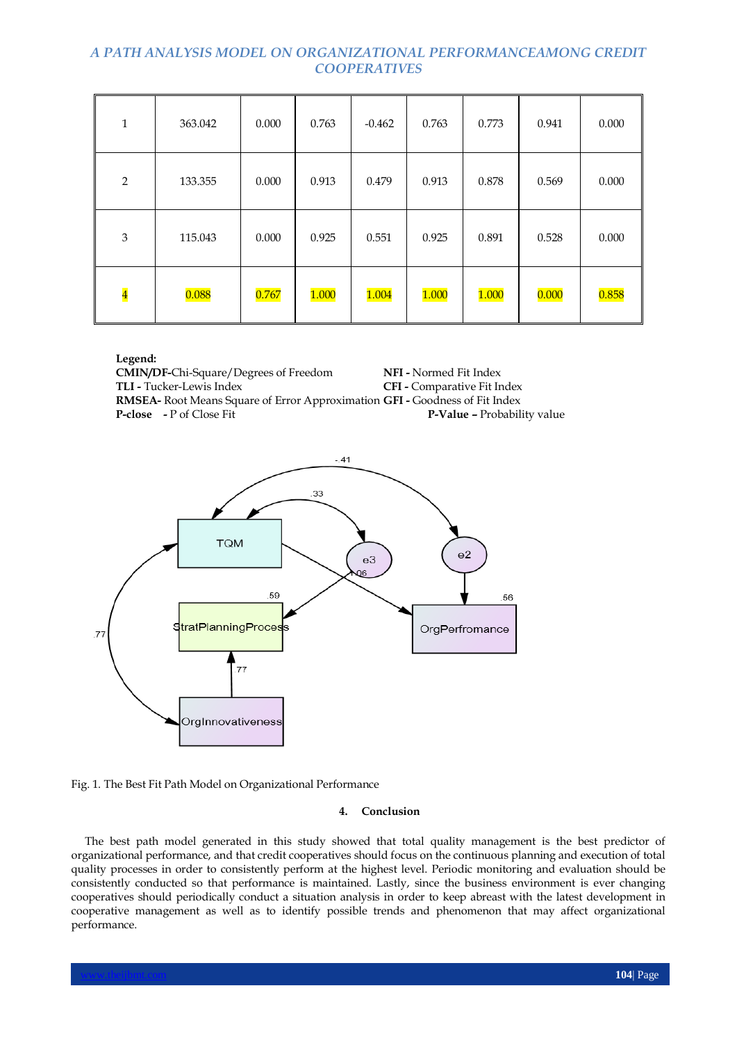| 1                       | 363.042 | 0.000 | 0.763 | $-0.462$ | 0.763 | 0.773 | 0.941 | 0.000 |
|-------------------------|---------|-------|-------|----------|-------|-------|-------|-------|
| $\overline{2}$          | 133.355 | 0.000 | 0.913 | 0.479    | 0.913 | 0.878 | 0.569 | 0.000 |
| 3                       | 115.043 | 0.000 | 0.925 | 0.551    | 0.925 | 0.891 | 0.528 | 0.000 |
| $\overline{\mathbf{4}}$ | 0.088   | 0.767 | 1.000 | 1.004    | 1.000 | 1.000 | 0.000 | 0.858 |

**Legend:**

**CMIN/DF-**Chi-Square/Degrees of Freedom **NFI -** Normed Fit Index **CFI -** Comparative Fit Index **RMSEA-** Root Means Square of Error Approximation **GFI -** Goodness of Fit Index<br>**P-Close** - P of Close Fit **P-Value -** Probability value



Fig. 1. The Best Fit Path Model on Organizational Performance

## **4. Conclusion**

 The best path model generated in this study showed that total quality management is the best predictor of organizational performance, and that credit cooperatives should focus on the continuous planning and execution of total quality processes in order to consistently perform at the highest level. Periodic monitoring and evaluation should be consistently conducted so that performance is maintained. Lastly, since the business environment is ever changing cooperatives should periodically conduct a situation analysis in order to keep abreast with the latest development in cooperative management as well as to identify possible trends and phenomenon that may affect organizational performance.